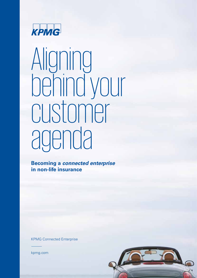

Aligning behind your customer agenda

**Becoming a** *connected enterprise* **in non-life insurance**

KPMG Connected Enterprise

[kpmg.com](http://www.kpmg.com)

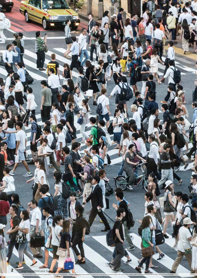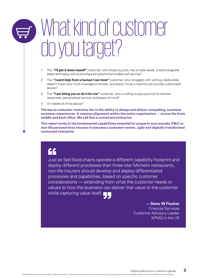# What kind of customer do you target?

- 1. The *"I'll get it done myself"* customer, who shops by price, has simple needs, is technologically adept and happy with preconfigured options that enable self-service?
- 2. The *"I want help from a human I can trust"* customer, who struggles with setting a deductible, doesn't know how much coverage to choose, and doesn't trust a machine can provide customized advice?
- 3. The *"I am hiring you to do it for me"* customer, who is willing to pay top price for tailored responses, personalized service, and peace of mind?
- 4. Or maybe all of the above?

**The key to customer-centricity lies in the ability to design and deliver compelling, seamless customer experiences. It requires alignment within the entire organization — across the front, middle and back office. We call that a connected enterprise.**

**This report looks at the fundamental capabilities essential for property and casualty (P&C) or non-life personal lines insurers to become a customer-centric, agile and digitally transformed connected enterprise.**

### **CC**

Just as fast-food chains operate a different capability footprint and deploy different processes than three-star Michelin restaurants, non-life insurers should develop and deploy differentiated processes and capabilities, based on specific customer considerations — extending from what the customer needs or values to how the business can deliver that value to the customer while capturing value itself.

> **— Deno W Fischer** Financial Services

Customer Advisory Leader KPMG in the US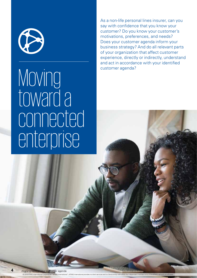

Moving toward a connected enterprise

As a non-life personal lines insurer, can you say with confidence that you know your customer? Do you know your customer's motivations, preferences, and needs? Does your customer agenda inform your business strategy? And do all relevant parts of your organization that affect customer experience, directly or indirectly, understand and act in accordance with your identified customer agenda?

**4** Aligning behind your customer agenda

© 2018 KPMG International Cooperative ("KPMG International"). KPMG International provides no client services and is a Swiss entity with which the independent member firms of the KPMG network are affiliated.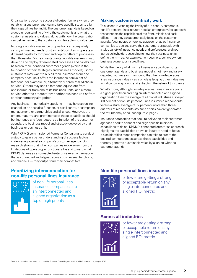Organizations become successful outperformers when they establish a customer agenda and take specific steps to align their capabilities behind it. The customer agenda is based on a deep understanding of who the customer is and what the customer needs and values, along with how the organization can deliver value to that customer while capturing value itself.

No single non-life insurance proposition can adequately satisfy all market needs. Just as fast-food chains operate a different capability footprint and deploy different processes than three-star Michelin restaurants, non-life insurers must develop and deploy differentiated processes and capabilities based on their identified customer agenda (which is the foundation of their strategies and business models). Some customers may want to buy all their insurance from one company because it offers the insurance equivalent of fast-food, for example, or, alternatively, three-star Michelin service. Others may seek a fast-food equivalent from one insurer, or from one of its business units, and a more service-oriented product from another business unit or from another company altogether.

Any business — generically speaking — may have an online channel, or an analytics function, or a call center, or campaign management, or partnerships and alliances. However, the extent, maturity, and prominence of these capabilities should be fine-tuned and 'connected' as a function of the customer agenda, the business model and strategy deployed by that business or business unit.

Why? KPMG commissioned Forrester Consulting to conduct a study to gain a better understanding of success factors in delivering against a company's customer agenda. Our research shows that when companies move away from the limitations of operating in functional silos and toward what KPMG defines as a connected enterprise — an organization that is connected and aligned across businesses, functions, and channels — they outperform their competitors.

#### **Making customer centricity work**

To succeed in winning the loyalty of 21<sup>st</sup> century customers, non-life personal lines insurers need an enterprise-wide approach that connects the capabilities of the front, middle and back offices — so they can appropriately focus on the customer agenda. A connected enterprise approach enables insurance companies to see and serve their customers as people with a wide variety of insurance needs and preferences, and not just as policyholders according to how their business units define them — as, for example, homeowners, vehicle owners, business owners, or insured lives.

While the theory of aligning a business capabilities to its customer agenda and business model is not new and rarely disputed, our research has found that the non-life personal lines insurance industry as a whole is lagging other industries significantly in applying and extracting the value of this theory.

What's more, although non-life personal lines insurers place a higher priority on creating an interconnected and aligned organization than the average of all global industries surveyed (80 percent of non-life personal lines insurance respondents versus a study average of 77 percent), more than threequarters of respondents say such efforts haven't generated the returns they need (see figure 2, page 7).

Insurance companies that seek to deliver on their customer agendas need to connect and align specific business capabilities to do so. KPMG's connected enterprise approach highlights the capabilities on which insurers need to focus. It also identifies steps companies can take to create the desired connectedness across these capabilities and thereby generate sustainable value by aligning with the customer agenda.



**non-life personal lines insurance**<br> **expansion of non-life peronal lines**<br> **expansion insurance companies cite**<br> **expansion interconnected and** of non-life peronal lines insurance companies cite an interconnected and aligned organization as a top or high priority





or fewer are getting a strong or acceptable return on any single interconnected and aligned ROI metric

#### **Across all industries**



or fewer are getting a strong or acceptable return on any single interconnected and aligned ROI metric

Source: A commissioned study conducted by Forrester Consulting on behalf of KPMG International, August 2016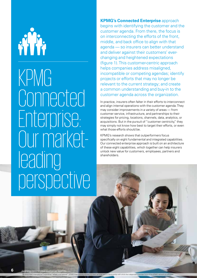**HYTH** KPMG Connected Enterprise: Our marketleading perspective

**KPMG's Connected Enterprise** approach begins with identifying the customer and the customer agenda. From there, the focus is on interconnecting the efforts of the front, middle, and back office to align with that agenda — so insurers can better understand and deliver against their customers' everchanging and heightened expectations (figure 1). This customer-centric approach helps companies address misaligned, incompatible or competing agendas; identify projects or efforts that may no longer be relevant to the current strategy; and create a common understanding and buy-in to the customer agenda across the organization.

In practice, insurers often falter in their efforts to interconnect and align internal operations with the customer agenda. They may consider improvements in a variety of areas — from customer service, infrastructure, and partnerships to their strategies for pricing, locations, channels, data, analytics, or acquisitions. But in the pursuit of "customer centricity," they may simply not know how best to target their efforts, or even what those efforts should be.

KPMG's research shows that outperformers focus specifically on eight fundamental and integrated capabilities. Our connected enterprise approach is built on an architecture of these eight capabilities, which together can help insurers unlock new value for customers, employees, partners and shareholders.

© 2018 KPMG International Cooperative ("KPMG International"). KPMG International provides no client services and is a Swiss entity with which the independent member firms of the KPMG network are affiliated.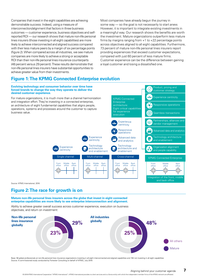Companies that invest in the eight capabilities are achieving demonstrable success. Indeed, using a measure of interconnection/alignment that factors in three business outcomes — customer experience, business objectives and selfreported ROI — our research shows that mature non-life personal lines insurers (those investing in all eight capabilities) are more likely to achieve interconnected and aligned success compared with their less mature peers by a margin of six percentage points (figure 2). When compared across all industries, we see mature companies are more likely to achieve a strong or acceptable ROI than their non-life personal lines insurance counterparts (48 percent versus 29 percent). These results demonstrate that non-life personal lines insurers have substantial opportunities to achieve greater value from their investments.

Most companies have already begun the journey in some way — so the goal is not necessarily to start anew. However, it is important to integrate existing investments in a meaningful way. Our research shows the benefits are worth the investment. Mature organizations outperform less mature firms by margins ranging from +1 to +22 percentage points across objectives aligned to all eight capabilities. Furthermore, 73 percent of mature non-life personal lines insurers report providing experiences that exceed customer expectations, compared with just 60 percent of less mature firms. Customer experience can be the difference between gaining a loyal customer and losing a dissatisfied one.

#### **Figure 1: The KPMG Connected Enterprise evolution**



Source: KPMG International, 2016

#### **Figure 2: The race for growth is on**

**Mature non-life personal lines insurers across the globe that invest in eight connected enterprise capabilities are more likely to see enterprise interconnection and alignment.**

Ability to achieve greater overall success across customer experience, execution on business objectives, and return on investment:



Base: 56 global professionals at non-life personal lines insurance organizations investing in all eight interconnected and aligned capabilities and 194 not investing in all eight capabilities<br>Source: A commissioned study c

<sup>© 2018</sup> KPMG International Cooperative ("KPMG International"). KPMG International provides no client services and is a Swiss entity with which the independent member firms of the KPMG network are affiliated.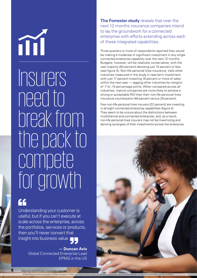m Insurers need to break from the pack to compete for growth

## **FF**

Understanding your customer is useful, but if you can't execute at scale across the enterprise, across the portfolios, services or products, then you'll never convert that insight into business value.

> **— Duncan Avis** Global Connected Enterprise Lead KPMG in the US

**The Forrester study** reveals that over the next 12 months insurance companies intend to lay the groundwork for a connected enterprise with efforts extending across each of these integrated capabilities.

Three-quarters or more of respondents reported they would be making a moderate or significant investment in any single connected enterprise capability over the next 12 months. Budgets, however, will be relatively conservative, with the vast majority (83 percent) devoting just 15 percent or less (see figure 3). Non-life personal lines insurance, trails other industries measured in the study in near-term investment, with just 17 percent investing 16 percent or more of sales within the next year – lagging other industries by margins of -7 to -14 percentage points. When compared across all industries, mature companies are more likely to achieve a strong or acceptable ROI than their non-life personal lines insurance counterparts (48 percent versus 29 percent).

Few non-life personal lines insurers (22 percent) are investing in all eight connected enterprise capabilities (figure 4). They seem to be unsure about the distinctions between multichannel and connected enterprise, and, as a result, non-life personal lines insurers may not be maximizing and deriving synergies of their investments across the enterprise.

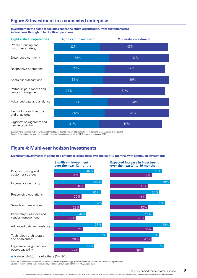#### **Figure 3: Investment in a connected enterprise**

#### **Investment in the eight capabilities spans the entire organization, from customer-facing interactions through to back-office operations.**

![](_page_8_Figure_2.jpeg)

Base: 250 professionals involved with interconnected and aligned strategy decisions at non-life personal lines insurance organizations<br>Source: A commissioned study conducted by Forrester Consulting on behalf of KPMG Intern

#### **Figure 4: Multi-year horizon investments**

**Significant investments in connected enterprise capabilities over the next 12 months, with continued investments** 

![](_page_8_Figure_6.jpeg)

Base: 250 professionals involved with interconnected and aligned strategy decisions at non-life personal lines insurance organizations Source: A commissioned study conducted by Forrester Consulting on behalf of KPMG, August 2016

<sup>© 2018</sup> KPMG International Cooperative ("KPMG International"). KPMG International provides no client services and is a Swiss entity with which the independent member firms of the KPMG network are affiliated.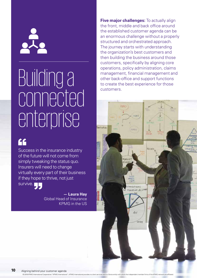oto

# Building a connected enterprise

# $f$

Success in the insurance industry of the future will not come from simply tweaking the status quo. Insurers will need to change virtually every part of their business if they hope to thrive, not just survive.

> **— Laura Hay** Global Head of Insurance KPMG in the US

**Five major challenges:** To actually align the front, middle and back office around the established customer agenda can be an enormous challenge without a properly structured and orchestrated approach. The journey starts with understanding the organization's best customers and then building the business around those customers, specifically by aligning core operations, policy administration, claims management, financial management and other back-office and support functions to create the best experience for those customers.

![](_page_9_Picture_6.jpeg)

© 2018 KPMG International Cooperative ("KPMG International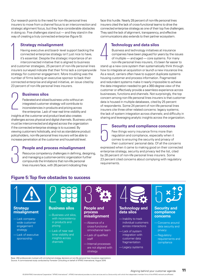Our research points to the need for non-life personal lines insurers to move from a channel focus to an interconnection and strategic alignment focus, but they face considerable obstacles in doing so. Five challenges stand out — and they stand in the way of creating a truly connected enterprise (figure 5):

#### **Strategy misalignment**

1 Having executive and board- level support backing the connected enterprise strategy isn't just nice to have, it's essential. Despite the strategic importance of an interconnected initiative that is aligned to business and customer strategies, 25 percent of non-life personal lines insurers surveyed indicate that their firms lack a companywide strategy for customer engagement. More troubling was the number of firms lacking an executive sponsor to back their connected enterprise and aligned initiative, an issue cited by 23 percent of non-life personal lines insurers.

#### **Business silos**

2 Federated and siloed business units without an integrated customer strategy will contribute to inconsistencies in products and pricing across the enterprise. Lack of near real time visibility and insights at the customer and product level also creates challenges across physical and digital channels. Business units must be interconnected and aligned across the organization if the connected enterprise strategy is to succeed. By viewing customers holistically, and not as standalone product policyholders, non-life personal lines insurers will be able to increase penetration at the customer and household level.  $\bigcup$ 

**People and process misalignment** Resource competency challenges in defining, designing, and managing a customer-centric organization further compounds the limitations that non-life personal lines insurers face, with 26 percent indicating they

face this hurdle. Nearly 28 percent of non-life personal lines insurers cited the lack of cross-functional teams to drive the connected enterprise strategy as one of their top five challenges. They said the lack of alignment, transparency, and effective communications also extends to their partner ecosystem. 4

#### **Technology and data silos**

Business and technology initiatives at insurance companies have been plagued for years by the issues of multiple — and aged — core systems. For many non-life personal lines insurers, it's been far easier to

stand up a new core system than systematically think through how to integrate an acquisition or launch a new insurance line. As a result, carriers often have to support duplicate systems housing customer and process information. Fragmented and redundant systems make it nearly impossible to achieve the data integration needed to get a 360-degree view of the customer or effectively provide a seamless experience across businesses, functions and channels. Not surprisingly, the top concern among non-life personal lines insurers is that customer data is housed in multiple databases, cited by 25 percent of respondents. Some 24 percent of non-life personal lines insurers cite three other related concerns: legacy systems; the lack of system integration across channels; and difficulty in sharing and leveraging analytic insights across the organization.

5

#### **Security and compliance concerns**

Few things worry insurance firms more than regulation and compliance, especially when it comes to ensuring the security and privacy of their customers' personal data. Of all the concerns

expressed when it came to making good on their connected enterprise strategy, security and privacy led the list, cited by 28 percent of non-life personal lines insurers. Some 23 percent cited concerns about complying with regulatory requirements.

#### **Figure 5: Top five obstacles to success**

![](_page_10_Figure_15.jpeg)

Base: 250 professionals involved with omnichannel strategy decisions at non-life personal lines insurance organizations<br>Source: A commissioned study conducted by Forrester Consulting on behalf of KPMG International, August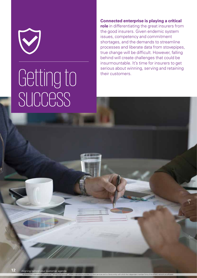# Getting to success

**Connected enterprise is playing a critical role** in differentiating the great insurers from the good insurers. Given endemic system issues, competency and commitment shortages, and the demands to streamline processes and liberate data from stovepipes, true change will be difficult. However, falling behind will create challenges that could be insurmountable. It's time for insurers to get serious about winning, serving and retaining their customers.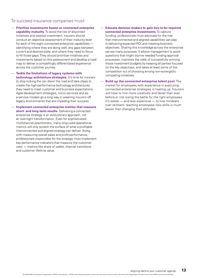#### To succeed insurance companies must:

- **Prioritize investments based on connected enterprise capability maturity.** To avoid the risk of disjointed initiatives and wasted investment, insurers should conduct an objective assessment of their maturity level for each of the eight connected enterprise capabilities identifying where they are doing well, any gaps between current and desired state, and where they need to focus to fill those gaps. They should prioritize initiatives and investments based on this assessment and develop a road map to deliver a compellingly differentiated experience across the customer journey.
- **Tackle the limitations of legacy systems with technology architecture strategies.** It's time for insurers to stop kicking the can down the road and take steps to create the high-performance technology architectures they need to meet customer and business expectations. Agile development strategies, micro-services and asa-service models go a long way in weaning insurers off legacy environments that are impeding their success.
- **Implement connected enterprise metrics that measure short- and long-term results.** Delivering a connected enterprise strategy is an evolutionary approach, not an overnight transformation. Even for sophisticated multichannel practitioners, many long-used operational metrics will only scratch the surface of what a profitable interconnected and aligned strategy can deliver. Along with measuring overall sales and profit performance, professionals responsible for the strategy must implement key performance indicators that measure the customer view — metrics like share of wallet, channel transitions and customer lifetime value.

#### — **Educate decision makers to gain buy-in for required**

**connected enterprise investments.** To capture funding, professionals must advocate for the role that interconnected and aligned capabilities can play in delivering expected ROI and meeting business objectives. Sharing this knowledge across the enterprise serves many purposes: It allows management to avoid questions that might stymie needed funding approval processes; improves the odds of successfully winning those investment budgets by keeping all parties focused on the key objectives; and takes at least some of the competition out of choosing among non-synergistic competing initiatives.

— **Build up the connected enterprise talent pool.** The market for employees with experience in executing connected enterprise strategies is heating up. Insurers will have to hire more creatively and faster than ever before or risk losing the battle for the right employees. It's easier — and less expensive — to hire mindsets over skillsets: teaching employees new skills is much easier than changing their attitudes.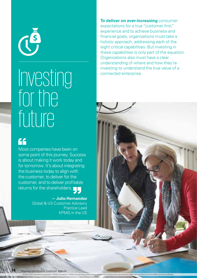$\tilde{\mathbb{G}}$ Investing for the future

## **FF**

Most companies have been on some point of this journey. Success is about making it work today and for tomorrow. It's about integrating the business today to align with the customer, to deliver for the customer, and to deliver profitable returns for the shareholders.

#### **— Julio Hernandez** Global & US Customer Advisory Practice Lead KPMG in the US

**To deliver on ever-increasing** consumer expectations for a true "customer first" experience and to achieve business and financial goals, organizations must take a holistic approach, addressing each of the eight critical capabilities. But investing in these capabilities is only part of the equation. Organizations also must have a clear understanding of where and how they're investing to understand the true value of a connected enterprise.

![](_page_13_Picture_5.jpeg)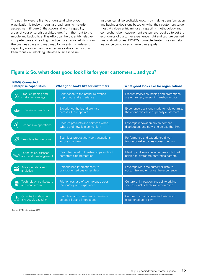The path forward is first to understand where your organization is today through a broad-ranging maturity assessment (Figure 6) that covers all eight capability areas of your enterprise architecture, from the front to the middle and back office. This effort can help identify relative competencies and leading practice. It can also help to inform the business case and road map for investing in relevant capability areas across the enterprise value chain, with a keen focus on unlocking ultimate business value.

Insurers can drive profitable growth by making transformation and business decisions based on what their customers value most. A value-centric mindset, capability, methodology and comprehensive measurement system are required to get the economics of customer experience right and capture desired financial outcomes. KPMG's connected enterprise can help insurance companies achieve these goals.

#### **Figure 6: So, what does good look like for your customers... and you?**

| <b>KPMG Connected</b><br><b>Enterprise capabilities</b> | <b>What good looks like for customers</b>                             | <b>What good looks like for organizations</b>                                          |
|---------------------------------------------------------|-----------------------------------------------------------------------|----------------------------------------------------------------------------------------|
| Product, pricing and                                    | Connection to the brand, relevance                                    | Products/services, pricing and promotions                                              |
| customer strategy                                       | of product and experience                                             | are optimized, leveraging real-time data                                               |
| Experience centricity                                   | Experience the brand promise<br>across all touchpoints                | Experience decisions made to help optimize<br>the economic value of priority customers |
| Responsive operations                                   | Receive products and services when,<br>where and how it is convenient | Leverage innovation-driven demand,<br>distribution, and servicing across the firm      |
| Seamless transactions                                   | Seamless product/service transactions<br>across channel(s)            | Performance and experience driven<br>transactional activities across the firm          |
| Partnerships, alliances                                 | Reap the benefit of partnerships without                              | Identify and leverage synergies with third                                             |
| and vendor management                                   | compromising perception                                               | parties to overcome enterprise barriers                                                |
| Advanced data and                                       | Personalized interactions with                                        | Leverage real-time customer data to                                                    |
| analytics                                               | brand-oriented customer data                                          | customize and enhance the experience                                                   |
| Technology architecture                                 | Frictionless use of technology across                                 | Culture of innovation and agility driving                                              |
| and enablement                                          | the journey and experience                                            | speedy, quality tech implementation                                                    |
| Organization alignment                                  | Seamless and consistent experience                                    | Culture of an outside-in and inside-out                                                |
| and people capability                                   | across all brand interactions                                         | experience centricity                                                                  |

Source: KPMG International, 2016